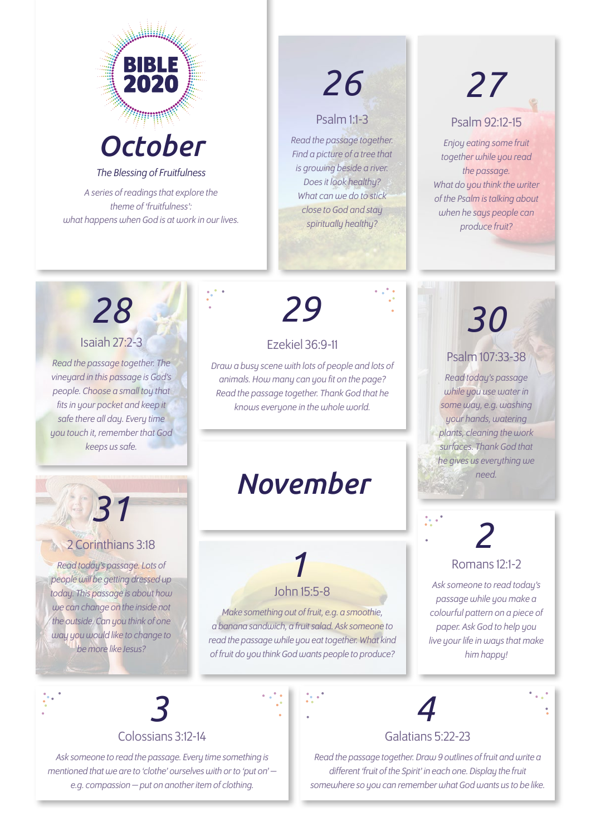

*October*

*The Blessing of Fruitfulness*

*A series of readings that explore the theme of 'fruitfulness': what happens when God is at work in our lives.*

## *26 27*

#### Psalm 1:1-3

*Read the passage together. Find a picture of a tree that is growing beside a river. Does it look healthy? What can we do to stick close to God and stay spiritually healthy?* 

#### Psalm 92:12-15

*Enjoy eating some fruit together while you read the passage. What do you think the writer of the Psalm is talking about when he says people can produce fruit?* 

### Isaiah 27:2-3 *28*

*Read the passage together. The vineyard in this passage is God's people. Choose a small toy that fits in your pocket and keep it safe there all day. Every time you touch it, remember that God keeps us safe.* 

# *29 30*

#### Ezekiel 36:9-11

*Draw a busy scene with lots of people and lots of animals. How many can you fit on the page? Read the passage together. Thank God that he knows everyone in the whole world.* 

### *November*

### 2 Corinthians 3:18

*31*

*Read today's passage. Lots of people will be getting dressed up today. This passage is about how we can change on the inside not the outside. Can you think of one way you would like to change to be more like Jesus?* 

### *1* John 15:5-8

*Make something out of fruit, e.g. a smoothie, a banana sandwich, a fruit salad. Ask someone to read the passage while you eat together. What kind of fruit do you think God wants people to produce?* 

#### Psalm 107:33-38

*Read today's passage while you use water in some way, e.g. washing your hands, watering plants, cleaning the work surfaces. Thank God that he gives us everything we need.*

# *2*

### Romans 12:1-2

*Ask someone to read today's passage while you make a colourful pattern on a piece of paper. Ask God to help you live your life in ways that make him happy!* 

## *3*

Colossians 3:12-14

*Ask someone to read the passage. Every time something is mentioned that we are to 'clothe' ourselves with or to 'put on' e.g. compassion — put on another item of clothing.*



#### Galatians 5:22-23

*Read the passage together. Draw 9 outlines of fruit and write a different 'fruit of the Spirit' in each one. Display the fruit somewhere so you can remember what God wants us to be like.*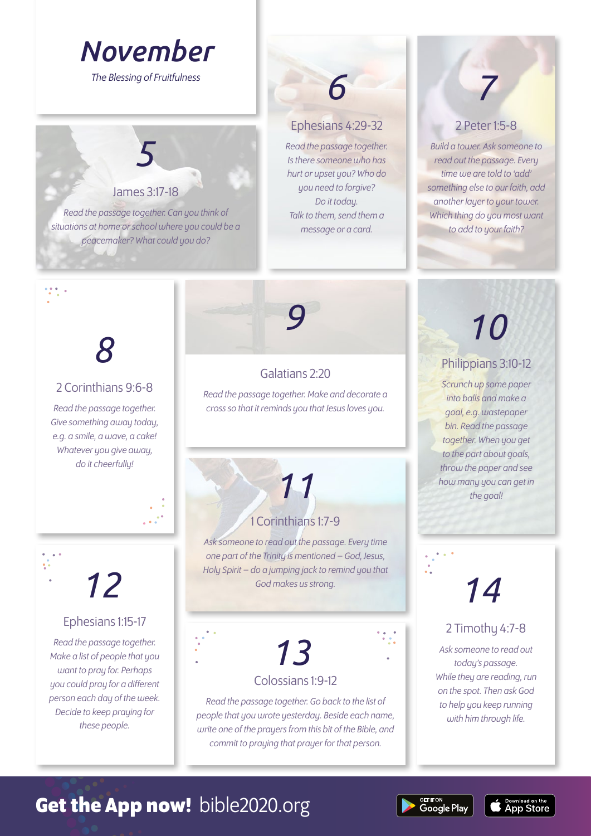### *November*

*The Blessing of Fruitfulness 6*

### James 3:17-18

*5*

*Read the passage together. Can you think of situations at home or school where you could be a peacemaker? What could you do?* 

#### Ephesians 4:29-32

*Read the passage together. Is there someone who has hurt or upset you? Who do you need to forgive? Do it today. Talk to them, send them a message or a card.* 

#### 2 Peter 1:5-8

*7*

*Build a tower. Ask someone to read out the passage. Every time we are told to 'add' something else to our faith, add another layer to your tower. Which thing do you most want to add to your faith?* 

## *8*

#### 2 Corinthians 9:6-8

*Read the passage together. Give something away today, e.g. a smile, a wave, a cake! Whatever you give away, do it cheerfully!* 

*12*

#### Ephesians 1:15-17

*Read the passage together. Make a list of people that you want to pray for. Perhaps you could pray for a different person each day of the week. Decide to keep praying for these people.* 

### Galatians 2:20

*Read the passage together. Make and decorate a cross so that it reminds you that Jesus loves you.* 

#### 1 Corinthians 1:7-9

*11*

*Ask someone to read out the passage. Every time one part of the Trinity is mentioned – God, Jesus, Holy Spirit – do a jumping jack to remind you that God makes us strong.*

*13*

#### Colossians 1:9-12

*Read the passage together. Go back to the list of people that you wrote yesterday. Beside each name, write one of the prayers from this bit of the Bible, and commit to praying that prayer for that person.* 

# *9 10*

Philippians 3:10-12

*Scrunch up some paper into balls and make a goal, e.g. wastepaper bin. Read the passage together. When you get to the part about goals, throw the paper and see how many you can get in the goal!* 

## *14*

#### 2 Timothy 4:7-8

*Ask someone to read out today's passage. While they are reading, run on the spot. Then ask God to help you keep running with him through life.* 

**App Store** 

### **Get the App now!** bible2020.org

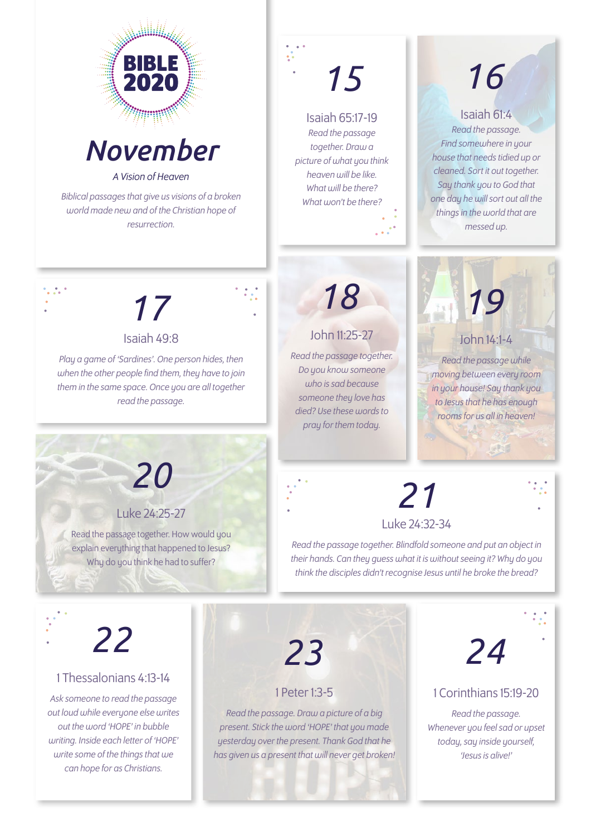



*A Vision of Heaven*

*Biblical passages that give us visions of a broken world made new and of the Christian hope of resurrection.*

## *15*

#### Isaiah 65:17-19

*Read the passage together. Draw a picture of what you think heaven will be like. What will be there? What won't be there?* 

## *16*

Isaiah 61:4 *Read the passage. Find somewhere in your house that needs tidied up or cleaned. Sort it out together. Say thank you to God that one day he will sort out all the things in the world that are messed up.* 

*17* 

#### Isaiah 49:8

*Play a game of 'Sardines'. One person hides, then when the other people find them, they have to join them in the same space. Once you are all together read the passage.* 



### John 11:25-27

*Read the passage together. Do you know someone who is sad because* someone they love has *died? Use these words to pray for them today.*



#### *moving between every room in your house! Say thank you to Jesus that he has enough rooms for us all in heaven!*

LAND

*21*

Luke 24:32-34

*Read the passage together. Blindfold someone and put an object in their hands. Can they guess what it is without seeing it? Why do you think the disciples didn't recognise Jesus until he broke the bread?* 

## *20*

#### Luke 24:25-27

Read the passage together. How would you explain everything that happened to Jesus? Why do you think he had to suffer?

## *22*

#### 1 Thessalonians 4:13-14

*Ask someone to read the passage out loud while everyone else writes out the word 'HOPE' in bubble writing. Inside each letter of 'HOPE' write some of the things that we can hope for as Christians.* 

*23*

#### 1 Peter 1:3-5

*Read the passage. Draw a picture of a big present. Stick the word 'HOPE' that you made yesterday over the present. Thank God that he has given us a present that will never get broken!*



#### 1 Corinthians 15:19-20

*Read the passage. Whenever you feel sad or upset today, say inside yourself, 'Jesus is alive!'*